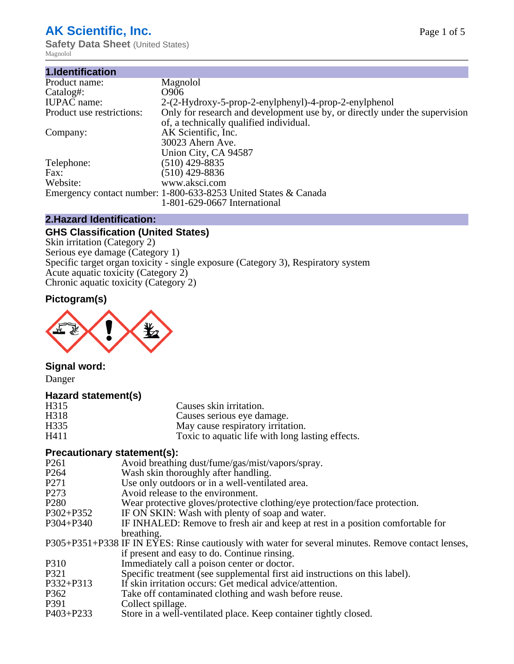# **AK Scientific, Inc.**

**Safety Data Sheet (United States)** Magnolol

| Magnolol                                                                    |
|-----------------------------------------------------------------------------|
| O906                                                                        |
| 2-(2-Hydroxy-5-prop-2-enylphenyl)-4-prop-2-enylphenol                       |
| Only for research and development use by, or directly under the supervision |
| of, a technically qualified individual.                                     |
| AK Scientific, Inc.                                                         |
| 30023 Ahern Ave.                                                            |
| Union City, CA 94587                                                        |
| $(510)$ 429-8835                                                            |
| $(510)$ 429-8836                                                            |
| www.aksci.com                                                               |
| Emergency contact number: 1-800-633-8253 United States & Canada             |
| 1-801-629-0667 International                                                |
|                                                                             |

### **2.Hazard Identification:**

# **GHS Classification (United States)**

Skin irritation (Category 2) Serious eye damage (Category 1) Specific target organ toxicity - single exposure (Category 3), Respiratory system Acute aquatic toxicity (Category 2) Chronic aquatic toxicity (Category 2)

## **Pictogram(s)**



# **Signal word:**

Danger

#### **Hazard statement(s)**

| H315 | Causes skin irritation.                          |  |
|------|--------------------------------------------------|--|
| H318 | Causes serious eye damage.                       |  |
| H335 | May cause respiratory irritation.                |  |
| H411 | Toxic to aquatic life with long lasting effects. |  |

### **Precautionary statement(s):**

| P <sub>261</sub> | Avoid breathing dust/fume/gas/mist/vapors/spray.                                                   |
|------------------|----------------------------------------------------------------------------------------------------|
| P <sub>264</sub> | Wash skin thoroughly after handling.                                                               |
| P271             | Use only outdoors or in a well-ventilated area.                                                    |
| P273             | Avoid release to the environment.                                                                  |
| P <sub>280</sub> | Wear protective gloves/protective clothing/eye protection/face protection.                         |
| P302+P352        | IF ON SKIN: Wash with plenty of soap and water.                                                    |
| P304+P340        | IF INHALED: Remove to fresh air and keep at rest in a position comfortable for                     |
|                  | breathing.                                                                                         |
|                  | P305+P351+P338 IF IN EYES: Rinse cautiously with water for several minutes. Remove contact lenses, |
|                  | if present and easy to do. Continue rinsing.                                                       |
| P310             | Immediately call a poison center or doctor.                                                        |
| P321             | Specific treatment (see supplemental first aid instructions on this label).                        |
| P332+P313        | If skin irritation occurs: Get medical advice/attention.                                           |
| P362             | Take off contaminated clothing and wash before reuse.                                              |
| P391             | Collect spillage.                                                                                  |
| P403+P233        | Store in a well-ventilated place. Keep container tightly closed.                                   |
|                  |                                                                                                    |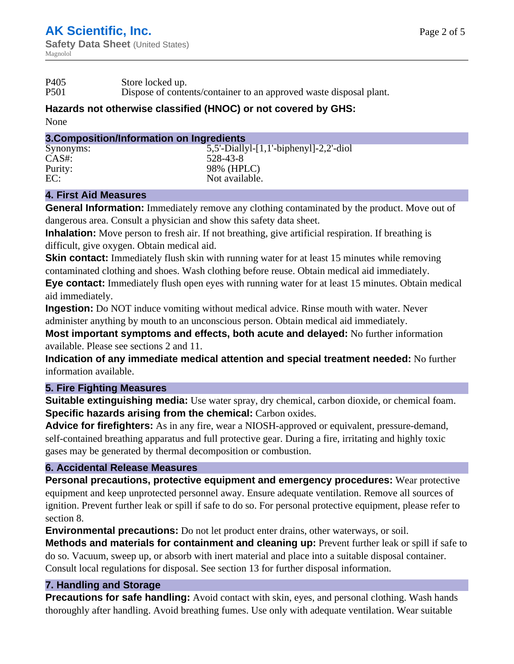P501 Dispose of contents/container to an approved waste disposal plant.

#### **Hazards not otherwise classified (HNOC) or not covered by GHS:**

None

#### **3.Composition/Information on Ingredients**

| Synonyms: | $5,5'$ -Diallyl-[1,1'-biphenyl]-2,2'-diol |
|-----------|-------------------------------------------|
| CAS#:     | 528-43-8                                  |
| Purity:   | 98% (HPLC)                                |
| EC:       | Not available.                            |
|           |                                           |

#### **4. First Aid Measures**

**General Information:** Immediately remove any clothing contaminated by the product. Move out of dangerous area. Consult a physician and show this safety data sheet.

**Inhalation:** Move person to fresh air. If not breathing, give artificial respiration. If breathing is difficult, give oxygen. Obtain medical aid.

**Skin contact:** Immediately flush skin with running water for at least 15 minutes while removing contaminated clothing and shoes. Wash clothing before reuse. Obtain medical aid immediately.

**Eye contact:** Immediately flush open eyes with running water for at least 15 minutes. Obtain medical aid immediately.

**Ingestion:** Do NOT induce vomiting without medical advice. Rinse mouth with water. Never administer anything by mouth to an unconscious person. Obtain medical aid immediately.

**Most important symptoms and effects, both acute and delayed:** No further information available. Please see sections 2 and 11.

**Indication of any immediate medical attention and special treatment needed:** No further information available.

#### **5. Fire Fighting Measures**

**Suitable extinguishing media:** Use water spray, dry chemical, carbon dioxide, or chemical foam. **Specific hazards arising from the chemical:** Carbon oxides.

**Advice for firefighters:** As in any fire, wear a NIOSH-approved or equivalent, pressure-demand, self-contained breathing apparatus and full protective gear. During a fire, irritating and highly toxic gases may be generated by thermal decomposition or combustion.

### **6. Accidental Release Measures**

**Personal precautions, protective equipment and emergency procedures:** Wear protective equipment and keep unprotected personnel away. Ensure adequate ventilation. Remove all sources of ignition. Prevent further leak or spill if safe to do so. For personal protective equipment, please refer to section 8.

**Environmental precautions:** Do not let product enter drains, other waterways, or soil.

**Methods and materials for containment and cleaning up:** Prevent further leak or spill if safe to do so. Vacuum, sweep up, or absorb with inert material and place into a suitable disposal container. Consult local regulations for disposal. See section 13 for further disposal information.

#### **7. Handling and Storage**

**Precautions for safe handling:** Avoid contact with skin, eyes, and personal clothing. Wash hands thoroughly after handling. Avoid breathing fumes. Use only with adequate ventilation. Wear suitable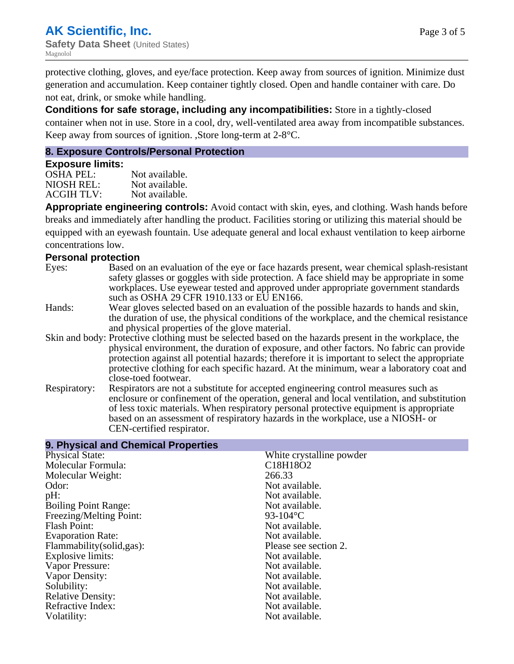protective clothing, gloves, and eye/face protection. Keep away from sources of ignition. Minimize dust generation and accumulation. Keep container tightly closed. Open and handle container with care. Do not eat, drink, or smoke while handling.

**Conditions for safe storage, including any incompatibilities:** Store in a tightly-closed container when not in use. Store in a cool, dry, well-ventilated area away from incompatible substances. Keep away from sources of ignition. ,Store long-term at 2-8°C.

#### **8. Exposure Controls/Personal Protection**

#### **Exposure limits:**

OSHA PEL:<br>NIOSH REL: Not available. NIOSH REL: ACGIH TLV: Not available.

**Appropriate engineering controls:** Avoid contact with skin, eyes, and clothing. Wash hands before breaks and immediately after handling the product. Facilities storing or utilizing this material should be equipped with an eyewash fountain. Use adequate general and local exhaust ventilation to keep airborne concentrations low.

#### **Personal protection**

- Eyes: Based on an evaluation of the eye or face hazards present, wear chemical splash-resistant safety glasses or goggles with side protection. A face shield may be appropriate in some workplaces. Use eyewear tested and approved under appropriate government standards such as OSHA 29 CFR 1910.133 or EU EN166. Hands: Wear gloves selected based on an evaluation of the possible hazards to hands and skin, the duration of use, the physical conditions of the workplace, and the chemical resistance and physical properties of the glove material. Skin and body: Protective clothing must be selected based on the hazards present in the workplace, the physical environment, the duration of exposure, and other factors. No fabric can provide protection against all potential hazards; therefore it is important to select the appropriate protective clothing for each specific hazard. At the minimum, wear a laboratory coat and close-toed footwear. Respiratory: Respirators are not a substitute for accepted engineering control measures such as enclosure or confinement of the operation, general and local ventilation, and substitution
- of less toxic materials. When respiratory personal protective equipment is appropriate based on an assessment of respiratory hazards in the workplace, use a NIOSH- or CEN-certified respirator.

| 9. Physical and Chemical Properties |                          |  |  |  |
|-------------------------------------|--------------------------|--|--|--|
| <b>Physical State:</b>              | White crystalline powder |  |  |  |
| Molecular Formula:                  | C18H18O2                 |  |  |  |
| Molecular Weight:                   | 266.33                   |  |  |  |
| Odor:                               | Not available.           |  |  |  |
| pH:                                 | Not available.           |  |  |  |
| <b>Boiling Point Range:</b>         | Not available.           |  |  |  |
| Freezing/Melting Point:             | 93-104 °C                |  |  |  |
| Flash Point:                        | Not available.           |  |  |  |
| <b>Evaporation Rate:</b>            | Not available.           |  |  |  |
| Flammability (solid, gas):          | Please see section 2.    |  |  |  |
| Explosive limits:                   | Not available.           |  |  |  |
| Vapor Pressure:                     | Not available.           |  |  |  |
| Vapor Density:                      | Not available.           |  |  |  |
| Solubility:                         | Not available.           |  |  |  |
| <b>Relative Density:</b>            | Not available.           |  |  |  |
| Refractive Index:                   | Not available.           |  |  |  |
| Volatility:                         | Not available.           |  |  |  |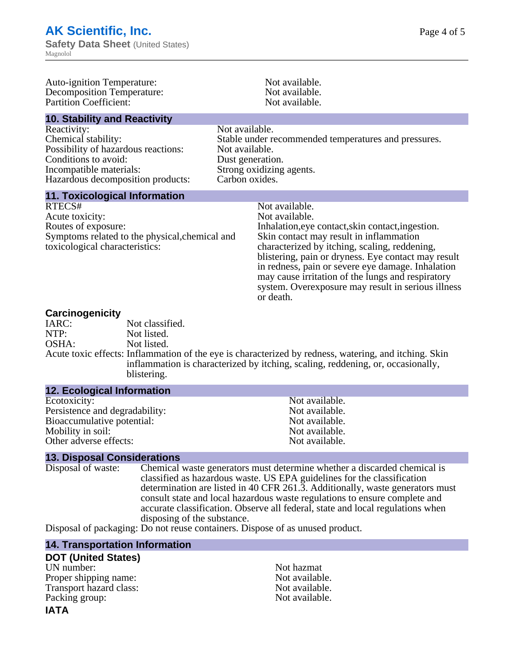Auto-ignition Temperature: Not available.<br>
Decomposition Temperature: Not available.<br>
Not available. Decomposition Temperature: Not available.<br>
Partition Coefficient: Not available.<br>
Not available. Partition Coefficient: **10. Stability and Reactivity** Reactivity: Not available. Chemical stability: Stable under recommended temperatures and pressures. Possibility of hazardous reactions: Not available. Conditions to avoid: Dust generation. Incompatible materials: Strong oxidizing agents.<br>
Hazardous decomposition products: Carbon oxides. Hazardous decomposition products: **11. Toxicological Information** RTECS# Not available.<br>Acute toxicity: Not available. Acute toxicity: Routes of exposure: The Inhalation, eve contact, skin contact, ingestion. Symptoms related to the physical,chemical and toxicological characteristics: Skin contact may result in inflammation characterized by itching, scaling, reddening, blistering, pain or dryness. Eye contact may result in redness, pain or severe eye damage. Inhalation may cause irritation of the lungs and respiratory system. Overexposure may result in serious illness or death.

**Carcinogenicity** Not classified. NTP: Not listed. OSHA: Not listed. Acute toxic effects: Inflammation of the eye is characterized by redness, watering, and itching. Skin inflammation is characterized by itching, scaling, reddening, or, occasionally, blistering.

#### **12. Ecological Information**

Ecotoxicity: Not available.<br>
Not available.<br>
Not available.<br>
Not available. Persistence and degradability:<br>
Bioaccumulative potential:<br>
Not available.<br>
Not available. Bioaccumulative potential: Mobility in soil: Not available. Other adverse effects: Not available.

#### **13. Disposal Considerations**

Disposal of waste: Chemical waste generators must determine whether a discarded chemical is classified as hazardous waste. US EPA guidelines for the classification determination are listed in 40 CFR 261.3. Additionally, waste generators must consult state and local hazardous waste regulations to ensure complete and accurate classification. Observe all federal, state and local regulations when disposing of the substance.

Disposal of packaging: Do not reuse containers. Dispose of as unused product.

#### **14. Transportation Information**

#### **DOT (United States)**

UN number: Not hazmat Proper shipping name:<br>
Transport hazard class:<br>
Not available. Transport hazard class: Packing group: Not available.

# **IATA**